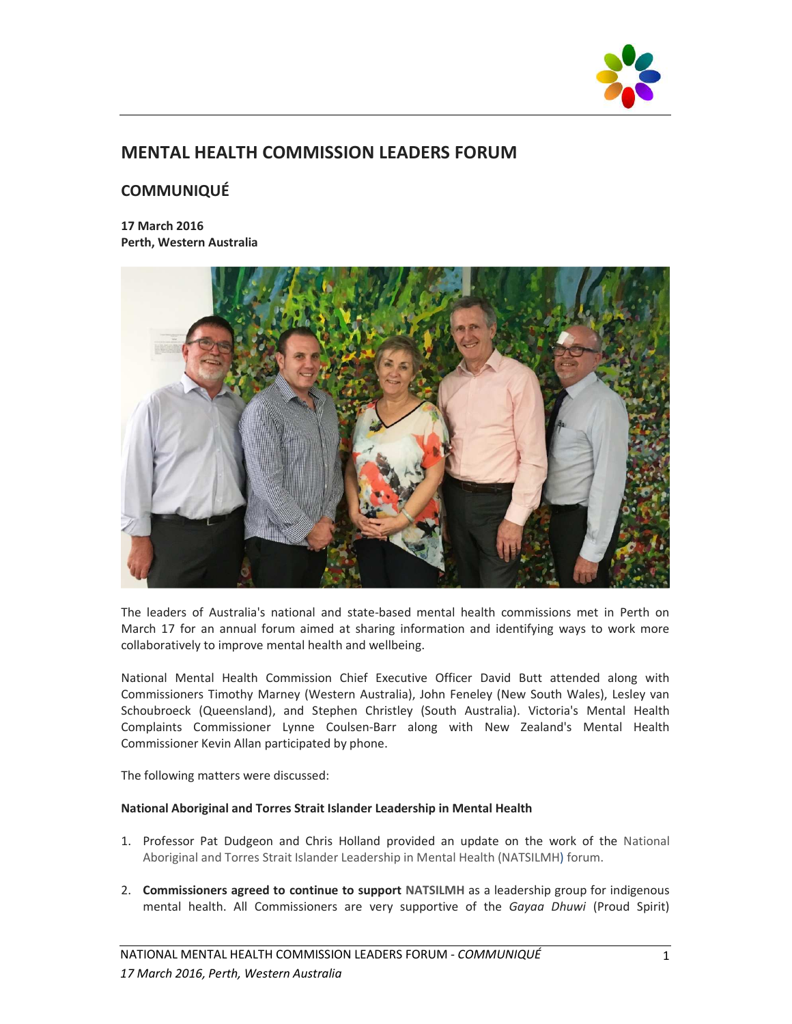

# **MENTAL HEALTH COMMISSION LEADERS FORUM**

# **COMMUNIQUÉ**

**17 March 2016 Perth, Western Australia** 



The leaders of Australia's national and state-based mental health commissions met in Perth on March 17 for an annual forum aimed at sharing information and identifying ways to work more collaboratively to improve mental health and wellbeing.

National Mental Health Commission Chief Executive Officer David Butt attended along with Commissioners Timothy Marney (Western Australia), John Feneley (New South Wales), Lesley van Schoubroeck (Queensland), and Stephen Christley (South Australia). Victoria's Mental Health Complaints Commissioner Lynne Coulsen-Barr along with New Zealand's Mental Health Commissioner Kevin Allan participated by phone.

The following matters were discussed:

## **National Aboriginal and Torres Strait Islander Leadership in Mental Health**

- 1. Professor Pat Dudgeon and Chris Holland provided an update on the work of the National Aboriginal and Torres Strait Islander Leadership in Mental Health (NATSILMH) forum.
- 2. **Commissioners agreed to continue to support NATSILMH** as a leadership group for indigenous mental health. All Commissioners are very supportive of the *Gayaa Dhuwi* (Proud Spirit)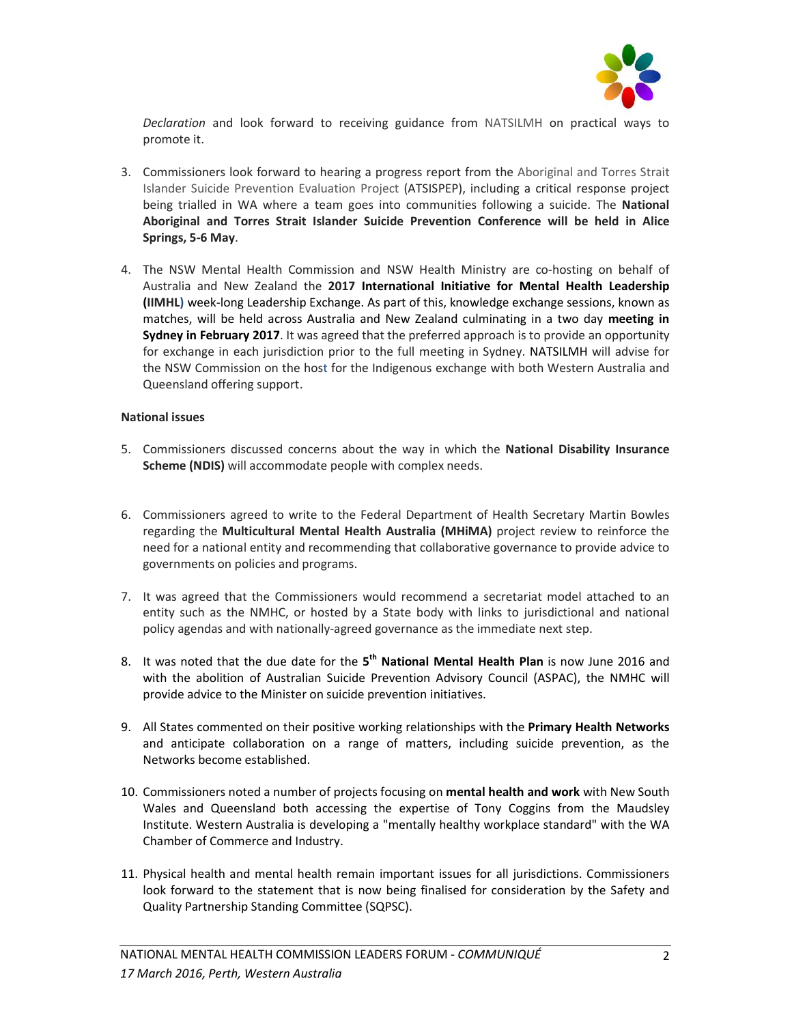

*Declaration* and look forward to receiving guidance from NATSILMH on practical ways to promote it.

- 3. Commissioners look forward to hearing a progress report from the Aboriginal and Torres Strait Islander Suicide Prevention Evaluation Project (ATSISPEP), including a critical response project being trialled in WA where a team goes into communities following a suicide. The **National Aboriginal and Torres Strait Islander Suicide Prevention Conference will be held in Alice Springs, 5-6 May**.
- 4. The NSW Mental Health Commission and NSW Health Ministry are co-hosting on behalf of Australia and New Zealand the **2017 International Initiative for Mental Health Leadership (IIMHL)** week-long Leadership Exchange. As part of this, knowledge exchange sessions, known as matches, will be held across Australia and New Zealand culminating in a two day **meeting in Sydney in February 2017**. It was agreed that the preferred approach is to provide an opportunity for exchange in each jurisdiction prior to the full meeting in Sydney. NATSILMH will advise for the NSW Commission on the host for the Indigenous exchange with both Western Australia and Queensland offering support.

## **National issues**

- 5. Commissioners discussed concerns about the way in which the **National Disability Insurance Scheme (NDIS)** will accommodate people with complex needs.
- 6. Commissioners agreed to write to the Federal Department of Health Secretary Martin Bowles regarding the **Multicultural Mental Health Australia (MHiMA)** project review to reinforce the need for a national entity and recommending that collaborative governance to provide advice to governments on policies and programs.
- 7. It was agreed that the Commissioners would recommend a secretariat model attached to an entity such as the NMHC, or hosted by a State body with links to jurisdictional and national policy agendas and with nationally-agreed governance as the immediate next step.
- 8. It was noted that the due date for the **5 th National Mental Health Plan** is now June 2016 and with the abolition of Australian Suicide Prevention Advisory Council (ASPAC), the NMHC will provide advice to the Minister on suicide prevention initiatives.
- 9. All States commented on their positive working relationships with the **Primary Health Networks** and anticipate collaboration on a range of matters, including suicide prevention, as the Networks become established.
- 10. Commissioners noted a number of projects focusing on **mental health and work** with New South Wales and Queensland both accessing the expertise of Tony Coggins from the Maudsley Institute. Western Australia is developing a "mentally healthy workplace standard" with the WA Chamber of Commerce and Industry.
- 11. Physical health and mental health remain important issues for all jurisdictions. Commissioners look forward to the statement that is now being finalised for consideration by the Safety and Quality Partnership Standing Committee (SQPSC).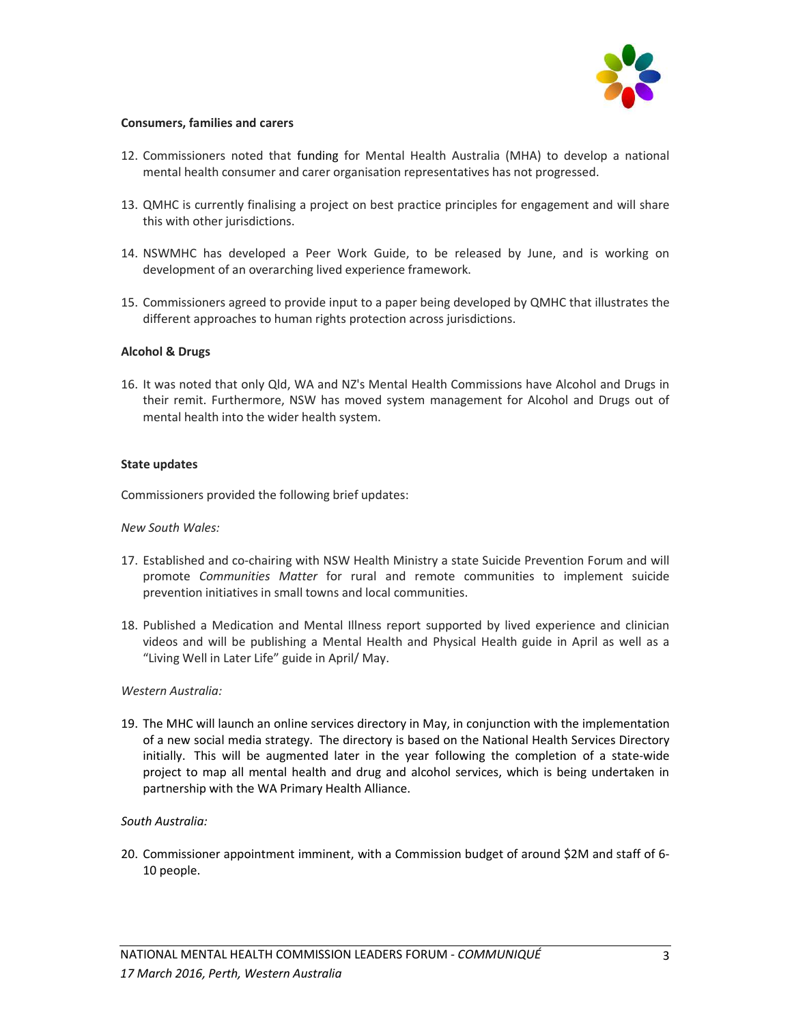

## **Consumers, families and carers**

- 12. Commissioners noted that funding for Mental Health Australia (MHA) to develop a national mental health consumer and carer organisation representatives has not progressed.
- 13. QMHC is currently finalising a project on best practice principles for engagement and will share this with other jurisdictions.
- 14. NSWMHC has developed a Peer Work Guide, to be released by June, and is working on development of an overarching lived experience framework.
- 15. Commissioners agreed to provide input to a paper being developed by QMHC that illustrates the different approaches to human rights protection across jurisdictions.

#### **Alcohol & Drugs**

16. It was noted that only Qld, WA and NZ's Mental Health Commissions have Alcohol and Drugs in their remit. Furthermore, NSW has moved system management for Alcohol and Drugs out of mental health into the wider health system.

#### **State updates**

Commissioners provided the following brief updates:

#### *New South Wales:*

- 17. Established and co-chairing with NSW Health Ministry a state Suicide Prevention Forum and will promote *Communities Matter* for rural and remote communities to implement suicide prevention initiatives in small towns and local communities.
- 18. Published a Medication and Mental Illness report supported by lived experience and clinician videos and will be publishing a Mental Health and Physical Health guide in April as well as a "Living Well in Later Life" guide in April/ May.

## *Western Australia:*

19. The MHC will launch an online services directory in May, in conjunction with the implementation of a new social media strategy. The directory is based on the National Health Services Directory initially. This will be augmented later in the year following the completion of a state-wide project to map all mental health and drug and alcohol services, which is being undertaken in partnership with the WA Primary Health Alliance.

## *South Australia:*

20. Commissioner appointment imminent, with a Commission budget of around \$2M and staff of 6- 10 people.